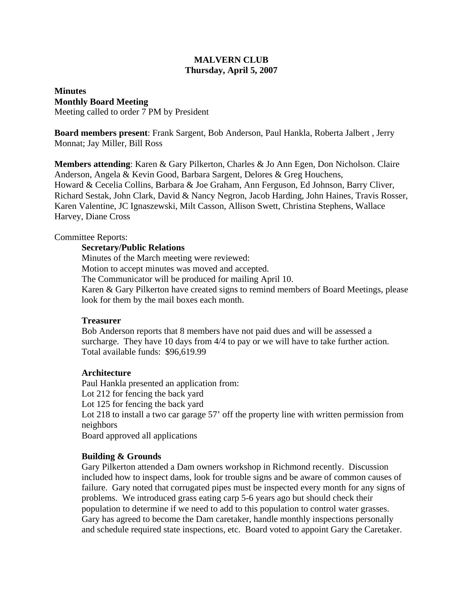## **MALVERN CLUB Thursday, April 5, 2007**

**Minutes Monthly Board Meeting** Meeting called to order 7 PM by President

**Board members present**: Frank Sargent, Bob Anderson, Paul Hankla, Roberta Jalbert , Jerry Monnat; Jay Miller, Bill Ross

**Members attending**: Karen & Gary Pilkerton, Charles & Jo Ann Egen, Don Nicholson. Claire Anderson, Angela & Kevin Good, Barbara Sargent, Delores & Greg Houchens, Howard & Cecelia Collins, Barbara & Joe Graham, Ann Ferguson, Ed Johnson, Barry Cliver, Richard Sestak, John Clark, David & Nancy Negron, Jacob Harding, John Haines, Travis Rosser, Karen Valentine, JC Ignaszewski, Milt Casson, Allison Swett, Christina Stephens, Wallace Harvey, Diane Cross

# Committee Reports:

### **Secretary/Public Relations**

Minutes of the March meeting were reviewed: Motion to accept minutes was moved and accepted. The Communicator will be produced for mailing April 10. Karen & Gary Pilkerton have created signs to remind members of Board Meetings, please look for them by the mail boxes each month.

### **Treasurer**

Bob Anderson reports that 8 members have not paid dues and will be assessed a surcharge. They have 10 days from 4/4 to pay or we will have to take further action. Total available funds: \$96,619.99

### **Architecture**

Paul Hankla presented an application from: Lot 212 for fencing the back yard Lot 125 for fencing the back yard Lot 218 to install a two car garage 57' off the property line with written permission from neighbors Board approved all applications

### **Building & Grounds**

Gary Pilkerton attended a Dam owners workshop in Richmond recently. Discussion included how to inspect dams, look for trouble signs and be aware of common causes of failure. Gary noted that corrugated pipes must be inspected every month for any signs of problems. We introduced grass eating carp 5-6 years ago but should check their population to determine if we need to add to this population to control water grasses. Gary has agreed to become the Dam caretaker, handle monthly inspections personally and schedule required state inspections, etc. Board voted to appoint Gary the Caretaker.